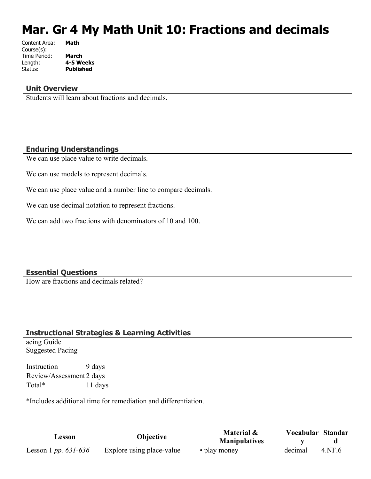# **Mar. Gr 4 My Math Unit 10: Fractions and decimals**

| Content Area: | Math             |
|---------------|------------------|
| Course(s):    |                  |
| Time Period:  | <b>March</b>     |
| Length:       | 4-5 Weeks        |
| Status:       | <b>Published</b> |
|               |                  |

#### **Unit Overview**

Students will learn about fractions and decimals.

#### **Enduring Understandings**

We can use place value to write decimals.

We can use models to represent decimals.

We can use place value and a number line to compare decimals.

We can use decimal notation to represent fractions.

We can add two fractions with denominators of 10 and 100.

#### **Essential Questions**

How are fractions and decimals related?

#### **Instructional Strategies & Learning Activities**

acing Guide Suggested Pacing

Instruction 9 days Review/Assessment 2 days Total\* 11 days

\*Includes additional time for remediation and differentiation.

| Lesson                          | <b>Objective</b>          | Material &           | Vocabular Standar |        |
|---------------------------------|---------------------------|----------------------|-------------------|--------|
|                                 |                           | <b>Manipulatives</b> |                   |        |
| Lesson 1 <i>pp.</i> $631 - 636$ | Explore using place-value | • play money         | decimal           | 4.NF.6 |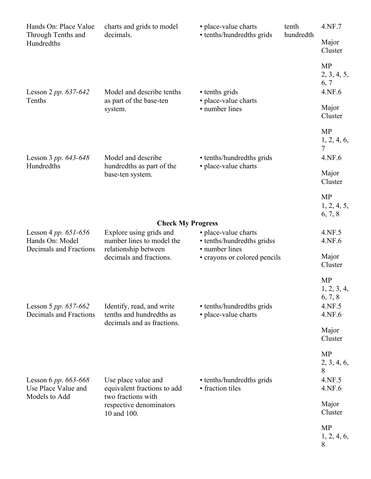| Hands On: Place Value                                            | charts and grids to model                                                                                          | • place-value charts                               | tenth     | 4.NF.7                                                  |
|------------------------------------------------------------------|--------------------------------------------------------------------------------------------------------------------|----------------------------------------------------|-----------|---------------------------------------------------------|
| Through Tenths and<br>Hundredths                                 | decimals.                                                                                                          | • tenths/hundredths grids                          | hundredth | Major<br>Cluster                                        |
| Lesson 2 pp. $637-642$                                           | Model and describe tenths                                                                                          | • tenths grids                                     |           | <b>MP</b><br>2, 3, 4, 5,<br>6, 7<br>4.NF.6              |
| Tenths                                                           | as part of the base-ten<br>system.                                                                                 | • place-value charts<br>• number lines             |           | Major<br>Cluster                                        |
| Lesson 3 pp. 643-648                                             | Model and describe                                                                                                 | • tenths/hundredths grids                          |           | <b>MP</b><br>1, 2, 4, 6,<br>7<br>4.NF.6                 |
| Hundredths                                                       | hundredths as part of the<br>base-ten system.                                                                      | • place-value charts                               |           | Major<br>Cluster                                        |
|                                                                  |                                                                                                                    |                                                    |           | <b>MP</b><br>1, 2, 4, 5,<br>6, 7, 8                     |
| Lesson 4 pp. 651-656<br>Hands On: Model                          | <b>Check My Progress</b><br>Explore using grids and<br>number lines to model the                                   | • place-value charts<br>• tenths/hundredths gridss |           | 4.NF.5<br>4.NF.6                                        |
| Decimals and Fractions                                           | relationship between<br>decimals and fractions.                                                                    | • number lines<br>• crayons or colored pencils     |           | Major<br>Cluster                                        |
| Lesson 5 pp. $657-662$<br>Decimals and Fractions                 | Identify, read, and write<br>tenths and hundredths as<br>decimals and as fractions.                                | • tenths/hundredths grids<br>• place-value charts  |           | <b>MP</b><br>1, 2, 3, 4,<br>6, 7, 8<br>4.NF.5<br>4.NF.6 |
|                                                                  |                                                                                                                    |                                                    |           | Major<br>Cluster                                        |
| Lesson 6 pp. $663 - 668$<br>Use Place Value and<br>Models to Add | Use place value and<br>equivalent fractions to add<br>two fractions with<br>respective denominators<br>10 and 100. | • tenths/hundredths grids<br>• fraction tiles      |           | <b>MP</b><br>2, 3, 4, 6,<br>8<br>4.NF.5<br>4.NF.6       |
|                                                                  |                                                                                                                    |                                                    |           | Major<br>Cluster                                        |
|                                                                  |                                                                                                                    |                                                    |           | <b>MP</b><br>1, 2, 4, 6,<br>8                           |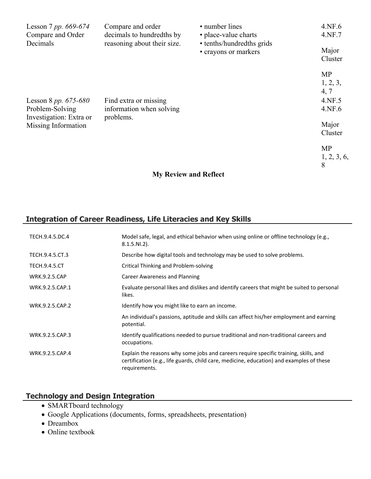| Lesson 7 pp. 669-674<br>Compare and Order<br>Decimals | Compare and order<br>decimals to hundredths by<br>reasoning about their size. | • number lines<br>• place-value charts<br>• tenths/hundredths grids | 4.NF.6<br>4.NF.7 |
|-------------------------------------------------------|-------------------------------------------------------------------------------|---------------------------------------------------------------------|------------------|
|                                                       |                                                                               | • crayons or markers                                                | Major<br>Cluster |
|                                                       |                                                                               |                                                                     | <b>MP</b>        |
|                                                       |                                                                               |                                                                     | 1, 2, 3,         |
|                                                       |                                                                               |                                                                     | 4, 7             |
| Lesson 8 pp. $675-680$                                | Find extra or missing                                                         |                                                                     | 4.NF.5           |
| Problem-Solving<br>Investigation: Extra or            | information when solving<br>problems.                                         |                                                                     | 4.NF.6           |
| Missing Information                                   |                                                                               |                                                                     | Major            |
|                                                       |                                                                               |                                                                     | Cluster          |
|                                                       |                                                                               |                                                                     | <b>MP</b>        |
|                                                       |                                                                               |                                                                     | 1, 2, 3, 6,      |
|                                                       |                                                                               |                                                                     | 8                |

# **My Review and Reflect**

# **Integration of Career Readiness, Life Literacies and Key Skills**

| TECH.9.4.5.DC.4      | Model safe, legal, and ethical behavior when using online or offline technology (e.g.,<br>$8.1.5.NI.2$ ).                                                                                         |
|----------------------|---------------------------------------------------------------------------------------------------------------------------------------------------------------------------------------------------|
| TECH.9.4.5.CT.3      | Describe how digital tools and technology may be used to solve problems.                                                                                                                          |
| <b>TECH.9.4.5.CT</b> | Critical Thinking and Problem-solving                                                                                                                                                             |
| <b>WRK.9.2.5.CAP</b> | Career Awareness and Planning                                                                                                                                                                     |
| WRK.9.2.5.CAP.1      | Evaluate personal likes and dislikes and identify careers that might be suited to personal<br>likes.                                                                                              |
| WRK.9.2.5.CAP.2      | Identify how you might like to earn an income.                                                                                                                                                    |
|                      | An individual's passions, aptitude and skills can affect his/her employment and earning<br>potential.                                                                                             |
| WRK.9.2.5.CAP.3      | Identify qualifications needed to pursue traditional and non-traditional careers and<br>occupations.                                                                                              |
| WRK.9.2.5.CAP.4      | Explain the reasons why some jobs and careers require specific training, skills, and<br>certification (e.g., life guards, child care, medicine, education) and examples of these<br>requirements. |

# **Technology and Design Integration**

- SMARTboard technology
- Google Applications (documents, forms, spreadsheets, presentation)
- Dreambox
- Online textbook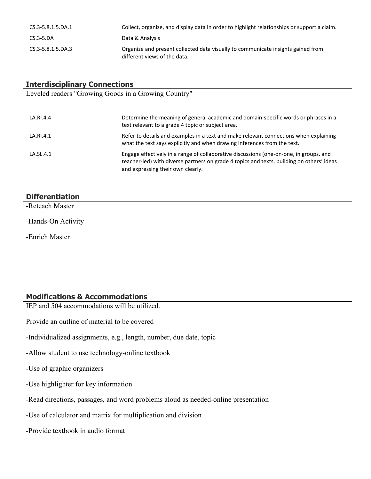| CS.3-5.8.1.5.DA.1     | Collect, organize, and display data in order to highlight relationships or support a claim.                      |
|-----------------------|------------------------------------------------------------------------------------------------------------------|
| $CS.3-5.DA$           | Data & Analysis                                                                                                  |
| $CS.3 - 5.8.1.5.DA.3$ | Organize and present collected data visually to communicate insights gained from<br>different views of the data. |

# **Interdisciplinary Connections**

Leveled readers "Growing Goods in a Growing Country"

| LA.RI.4.4 | Determine the meaning of general academic and domain-specific words or phrases in a<br>text relevant to a grade 4 topic or subject area.                                                                                 |
|-----------|--------------------------------------------------------------------------------------------------------------------------------------------------------------------------------------------------------------------------|
| LA.RI.4.1 | Refer to details and examples in a text and make relevant connections when explaining<br>what the text says explicitly and when drawing inferences from the text.                                                        |
| LA.SL.4.1 | Engage effectively in a range of collaborative discussions (one-on-one, in groups, and<br>teacher-led) with diverse partners on grade 4 topics and texts, building on others' ideas<br>and expressing their own clearly. |

# **Differentiation**

-Reteach Master

-Hands-On Activity

-Enrich Master

# **Modifications & Accommodations**

IEP and 504 accommodations will be utilized.

Provide an outline of material to be covered

-Individualized assignments, e.g., length, number, due date, topic

-Allow student to use technology-online textbook

-Use of graphic organizers

-Use highlighter for key information

-Read directions, passages, and word problems aloud as needed-online presentation

-Use of calculator and matrix for multiplication and division

-Provide textbook in audio format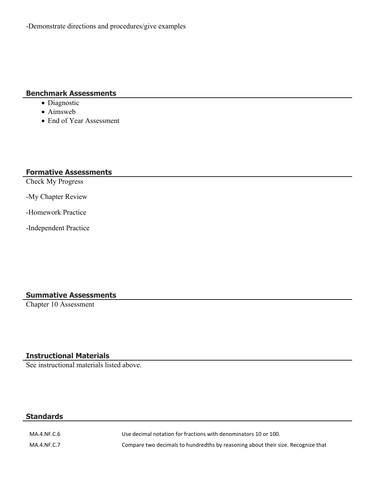#### **Benchmark Assessments**

- Diagnostic
- Aimsweb
- End of Year Assessment

#### **Formative Assessments**

Check My Progress

-My Chapter Review

-Homework Practice

-Independent Practice

# **Summative Assessments**

Chapter 10 Assessment

# **Instructional Materials**

See instructional materials listed above.

#### **Standards**

MA.4.NF.C.6 Use decimal notation for fractions with denominators 10 or 100. MA.4.NF.C.7 Compare two decimals to hundredths by reasoning about their size. Recognize that